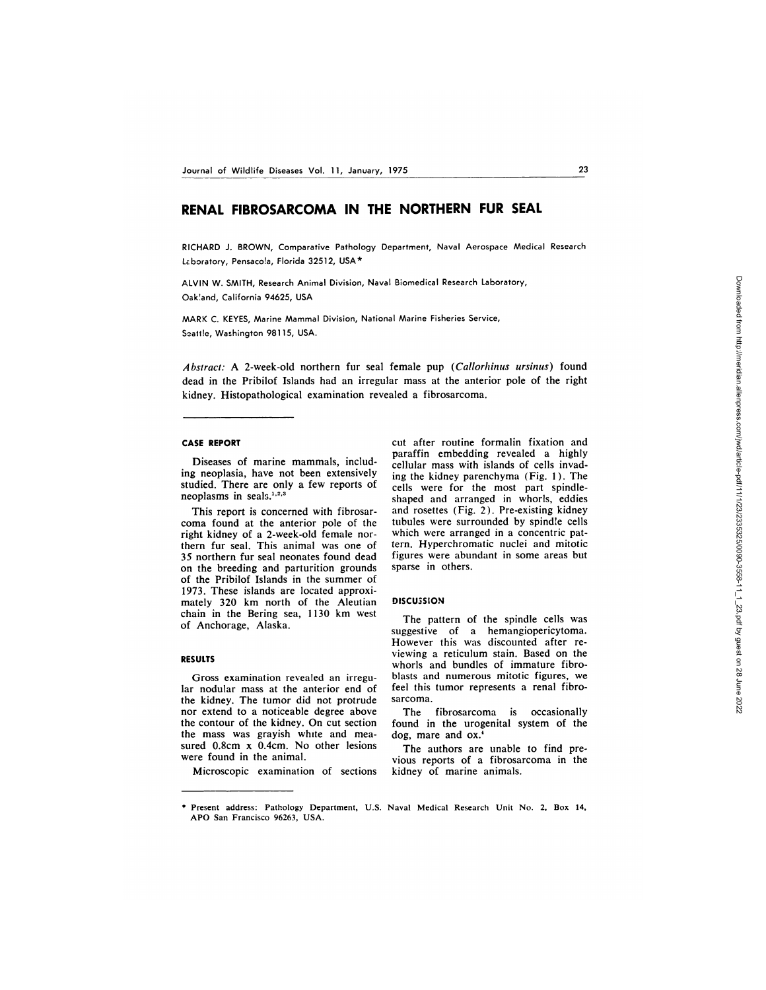# **RENAL FIBROSARCOMA IN THE NORTHERN FUR SEAL**

RICHARD J.BROWN, Comparative Pathology Department, Naval Aerospace Medical Research Laboratory, Pensacola, Florida 32512, USA\*

ALVIN W. SMITH, Research Animal Division, Naval Biomedical Research Laboratory, Oak!and, California 94625, USA

MARK C. KEYES, Marine Mammal Division, National Marine Fisheries Service, Seattle, Washington 98115, USA.

*Abstract:* A 2-week-old northern fur seal female pup *(Callorhinus ursinus)* found dead in the Pribilof Islands had an irregular mass at the anterior pole of the right kidney. Histopathological examination revealed a fibrosarcoma.

### **CASE REPORT**

Diseases of marine mammals, including neoplasia, have not been extensively studied. There are only a few reports of neoplasms in seals.<sup>1,2,3</sup>

This report is concerned with fibrosar coma found at the anterior pole of the right kidney of a 2-week-old female northern fur seal. This animal was one of 35 northern fur seal neonates found dead on the breeding and parturition grounds of the Pribilof Islands in the summer of 1973. These islands are located approximately 320 km north of the Aleutian chain in the Bering sea, 1130 km west of Anchorage, Alaska.

### **RESULTS**

Gross examination revealed an irregular nodular mass at the anterior end of the kidney. The tumor did not protrude nor extend to a noticeable degree above the contour of the kidney. On cut section the mass was grayish white and mea sured 0.8cm x 0.4cm. No other lesions were found in the animal.

Microscopic examination of sections

cut after routine formalin fixation and paraffin embedding revealed a highly cellular mass with islands of cells invading the kidney parenchyma (Fig. 1). The cells were for the most part spindleshaped and arranged in whorls, eddies and rosettes (Fig. 2). Pre-existing kidney tubules were surrounded by spindie cells which were arranged in a concentric pattern. Hyperchromatic nuclei and mitotic figures were abundant in some areas but sparse in others.

### **DISCU3SEON**

The pattern of the spindle cells was suggestive of a hemangiopericytoma. However this was discounted after re viewing a reticulum stain. Based on the whorls and bundles of immature fibro blasts and numerous mitotic figures, we feel this tumor represents a renal fibro sarcoma.

The fibrosarcoma is occasionally found in the urogenital system of the dog, mare and ox.'

The authors are unable to find previous reports of a fibrosarcoma in the kidney of marine animals.

**<sup>\*</sup>** Present address: Pathology Department, U.S. Naval Medical Research Unit No. 2, Box 14, APO San Francisco 96263, USA.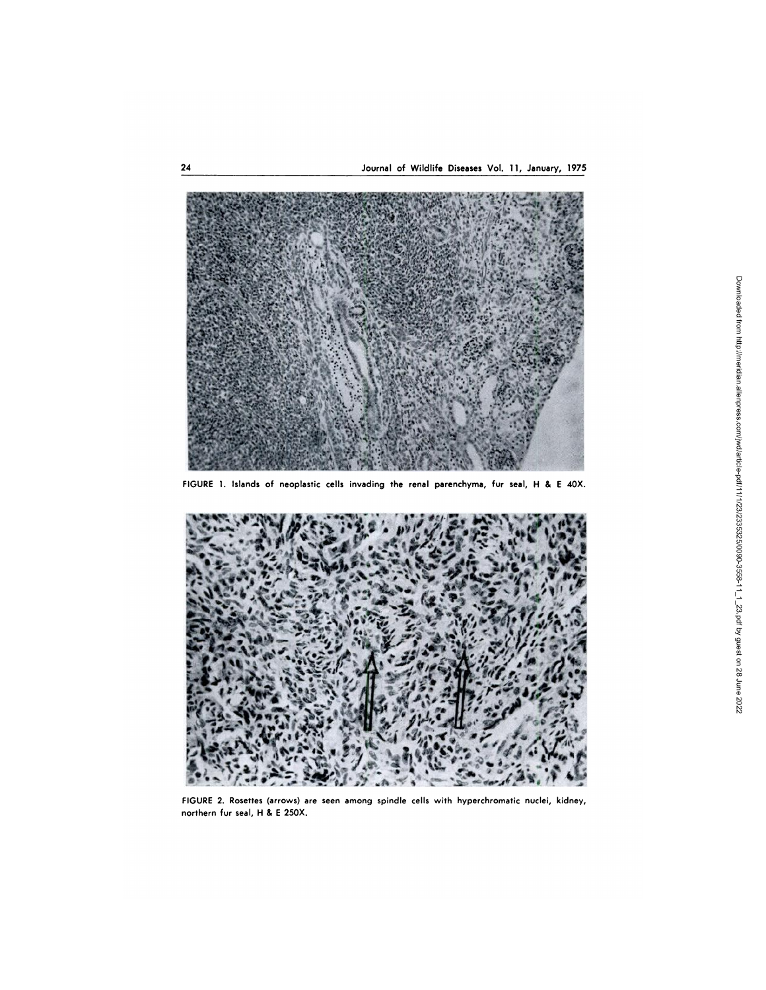

FIGURE 1. Islands of neoplastic cells invading the renal parenchyma, fur seal, H & E 40X.



FIGURE 2. Rosettes (arrows) are seen among spindle cells with hyperchromatic nuclei, kidney, northern fur seal, H & E 250X.